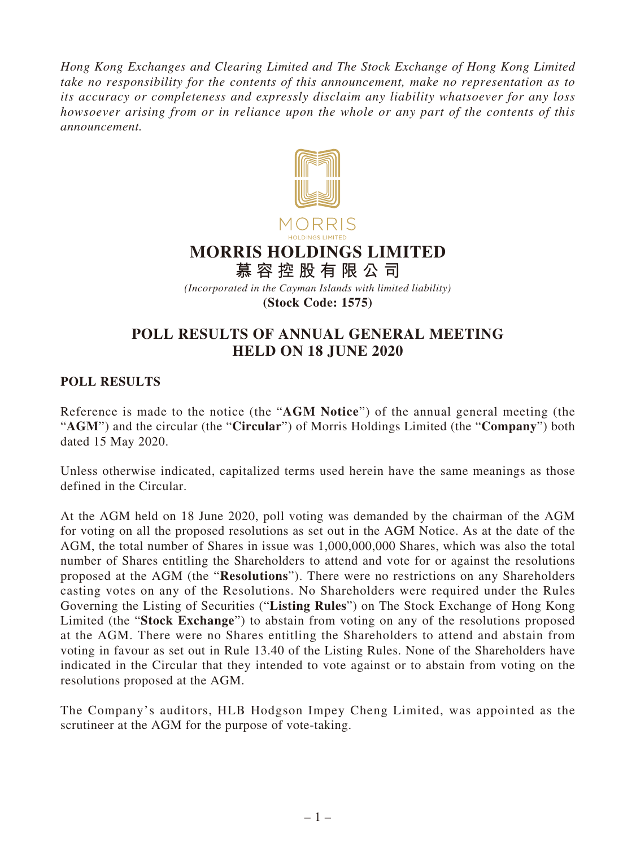*Hong Kong Exchanges and Clearing Limited and The Stock Exchange of Hong Kong Limited take no responsibility for the contents of this announcement, make no representation as to its accuracy or completeness and expressly disclaim any liability whatsoever for any loss howsoever arising from or in reliance upon the whole or any part of the contents of this announcement.*



## **POLL RESULTS OF ANNUAL GENERAL MEETING HELD ON 18 JUNE 2020**

**POLL RESULTS**

Reference is made to the notice (the "**AGM Notice**") of the annual general meeting (the "**AGM**") and the circular (the "**Circular**") of Morris Holdings Limited (the "**Company**") both dated 15 May 2020.

Unless otherwise indicated, capitalized terms used herein have the same meanings as those defined in the Circular.

At the AGM held on 18 June 2020, poll voting was demanded by the chairman of the AGM for voting on all the proposed resolutions as set out in the AGM Notice. As at the date of the AGM, the total number of Shares in issue was 1,000,000,000 Shares, which was also the total number of Shares entitling the Shareholders to attend and vote for or against the resolutions proposed at the AGM (the "**Resolutions**"). There were no restrictions on any Shareholders casting votes on any of the Resolutions. No Shareholders were required under the Rules Governing the Listing of Securities ("**Listing Rules**") on The Stock Exchange of Hong Kong Limited (the "**Stock Exchange**") to abstain from voting on any of the resolutions proposed at the AGM. There were no Shares entitling the Shareholders to attend and abstain from voting in favour as set out in Rule 13.40 of the Listing Rules. None of the Shareholders have indicated in the Circular that they intended to vote against or to abstain from voting on the resolutions proposed at the AGM.

The Company's auditors, HLB Hodgson Impey Cheng Limited, was appointed as the scrutineer at the AGM for the purpose of vote-taking.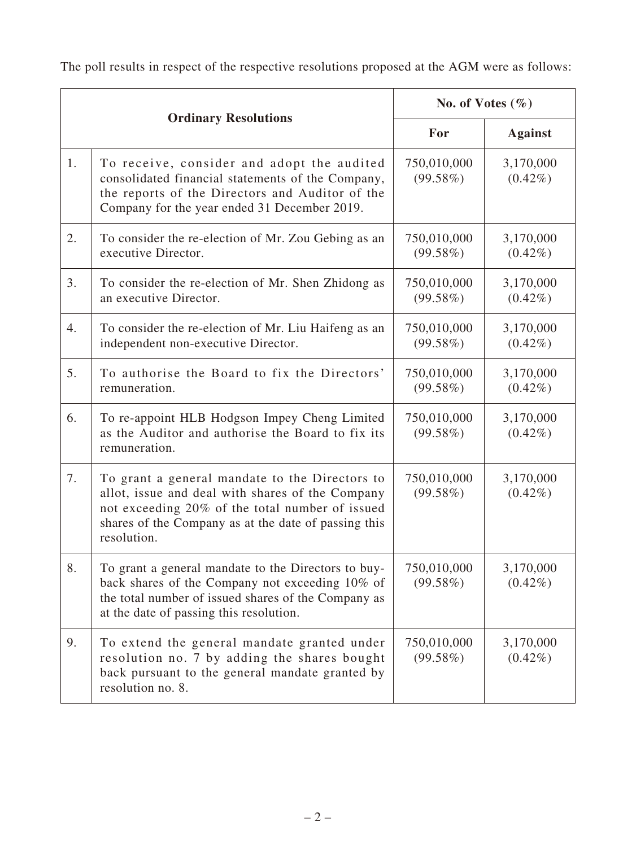The poll results in respect of the respective resolutions proposed at the AGM were as follows:

| <b>Ordinary Resolutions</b> |                                                                                                                                                                                                                              | No. of Votes $(\% )$       |                         |
|-----------------------------|------------------------------------------------------------------------------------------------------------------------------------------------------------------------------------------------------------------------------|----------------------------|-------------------------|
|                             |                                                                                                                                                                                                                              | For                        | <b>Against</b>          |
| 1.                          | To receive, consider and adopt the audited<br>consolidated financial statements of the Company,<br>the reports of the Directors and Auditor of the<br>Company for the year ended 31 December 2019.                           | 750,010,000<br>(99.58%)    | 3,170,000<br>$(0.42\%)$ |
| 2.                          | To consider the re-election of Mr. Zou Gebing as an<br>executive Director.                                                                                                                                                   | 750,010,000<br>(99.58%)    | 3,170,000<br>$(0.42\%)$ |
| 3.                          | To consider the re-election of Mr. Shen Zhidong as<br>an executive Director.                                                                                                                                                 | 750,010,000<br>(99.58%)    | 3,170,000<br>$(0.42\%)$ |
| 4.                          | To consider the re-election of Mr. Liu Haifeng as an<br>independent non-executive Director.                                                                                                                                  | 750,010,000<br>$(99.58\%)$ | 3,170,000<br>$(0.42\%)$ |
| 5.                          | To authorise the Board to fix the Directors'<br>remuneration.                                                                                                                                                                | 750,010,000<br>(99.58%)    | 3,170,000<br>$(0.42\%)$ |
| 6.                          | To re-appoint HLB Hodgson Impey Cheng Limited<br>as the Auditor and authorise the Board to fix its<br>remuneration.                                                                                                          | 750,010,000<br>(99.58%)    | 3,170,000<br>$(0.42\%)$ |
| 7.                          | To grant a general mandate to the Directors to<br>allot, issue and deal with shares of the Company<br>not exceeding 20% of the total number of issued<br>shares of the Company as at the date of passing this<br>resolution. | 750,010,000<br>(99.58%)    | 3,170,000<br>$(0.42\%)$ |
| 8.                          | To grant a general mandate to the Directors to buy-<br>back shares of the Company not exceeding 10% of<br>the total number of issued shares of the Company as<br>at the date of passing this resolution.                     | 750,010,000<br>(99.58%)    | 3,170,000<br>$(0.42\%)$ |
| 9.                          | To extend the general mandate granted under<br>resolution no. 7 by adding the shares bought<br>back pursuant to the general mandate granted by<br>resolution no. 8.                                                          | 750,010,000<br>(99.58%)    | 3,170,000<br>$(0.42\%)$ |